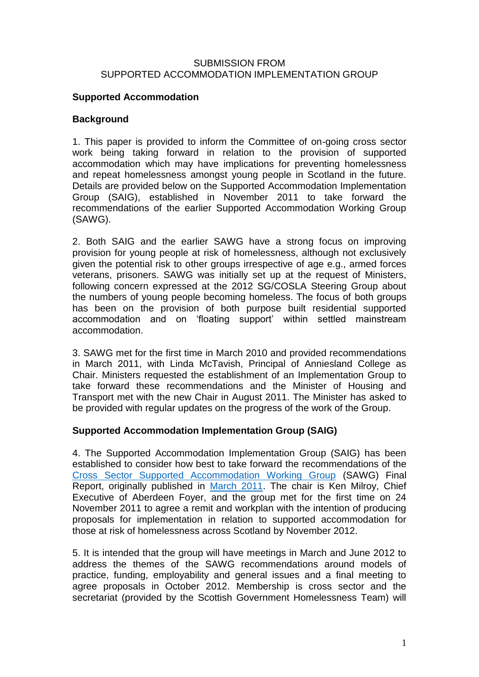#### SUBMISSION FROM SUPPORTED ACCOMMODATION IMPLEMENTATION GROUP

## **Supported Accommodation**

## **Background**

1. This paper is provided to inform the Committee of on-going cross sector work being taking forward in relation to the provision of supported accommodation which may have implications for preventing homelessness and repeat homelessness amongst young people in Scotland in the future. Details are provided below on the Supported Accommodation Implementation Group (SAIG), established in November 2011 to take forward the recommendations of the earlier Supported Accommodation Working Group (SAWG).

2. Both SAIG and the earlier SAWG have a strong focus on improving provision for young people at risk of homelessness, although not exclusively given the potential risk to other groups irrespective of age e.g., armed forces veterans, prisoners. SAWG was initially set up at the request of Ministers, following concern expressed at the 2012 SG/COSLA Steering Group about the numbers of young people becoming homeless. The focus of both groups has been on the provision of both purpose built residential supported accommodation and on 'floating support' within settled mainstream accommodation.

3. SAWG met for the first time in March 2010 and provided recommendations in March 2011, with Linda McTavish, Principal of Anniesland College as Chair. Ministers requested the establishment of an Implementation Group to take forward these recommendations and the Minister of Housing and Transport met with the new Chair in August 2011. The Minister has asked to be provided with regular updates on the progress of the work of the Group.

# **Supported Accommodation Implementation Group (SAIG)**

4. The Supported Accommodation Implementation Group (SAIG) has been established to consider how best to take forward the recommendations of the [Cross Sector Supported Accommodation Working Group](http://www.scotland.gov.uk/Topics/Built-Environment/Housing/homeless/HomelessnessPrevention/CSSuppAcWG) (SAWG) Final Report, originally published in [March 2011.](http://www.scotland.gov.uk/Publications/2011/11/10102232/0) The chair is Ken Milroy, Chief Executive of Aberdeen Foyer, and the group met for the first time on 24 November 2011 to agree a remit and workplan with the intention of producing proposals for implementation in relation to supported accommodation for those at risk of homelessness across Scotland by November 2012.

5. It is intended that the group will have meetings in March and June 2012 to address the themes of the SAWG recommendations around models of practice, funding, employability and general issues and a final meeting to agree proposals in October 2012. Membership is cross sector and the secretariat (provided by the Scottish Government Homelessness Team) will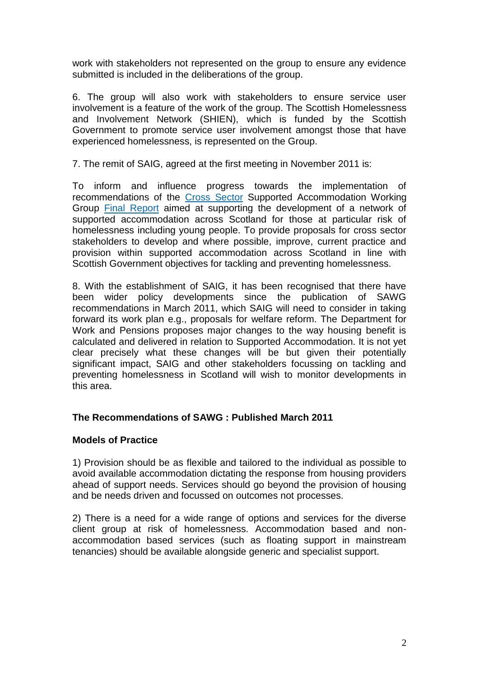work with stakeholders not represented on the group to ensure any evidence submitted is included in the deliberations of the group.

6. The group will also work with stakeholders to ensure service user involvement is a feature of the work of the group. The Scottish Homelessness and Involvement Network (SHIEN), which is funded by the Scottish Government to promote service user involvement amongst those that have experienced homelessness, is represented on the Group.

7. The remit of SAIG, agreed at the first meeting in November 2011 is:

To inform and influence progress towards the implementation of recommendations of the [Cross Sector](http://www.scotland.gov.uk/Topics/Built-Environment/Housing/homeless/HomelessnessPrevention/CSSuppAcWG) Supported Accommodation Working Group [Final Report](http://www.scotland.gov.uk/Publications/2011/11/10102232/0) aimed at supporting the development of a network of supported accommodation across Scotland for those at particular risk of homelessness including young people. To provide proposals for cross sector stakeholders to develop and where possible, improve, current practice and provision within supported accommodation across Scotland in line with Scottish Government objectives for tackling and preventing homelessness.

8. With the establishment of SAIG, it has been recognised that there have been wider policy developments since the publication of SAWG recommendations in March 2011, which SAIG will need to consider in taking forward its work plan e.g., proposals for welfare reform. The Department for Work and Pensions proposes major changes to the way housing benefit is calculated and delivered in relation to Supported Accommodation. It is not yet clear precisely what these changes will be but given their potentially significant impact, SAIG and other stakeholders focussing on tackling and preventing homelessness in Scotland will wish to monitor developments in this area.

#### **The Recommendations of SAWG : Published March 2011**

#### **Models of Practice**

1) Provision should be as flexible and tailored to the individual as possible to avoid available accommodation dictating the response from housing providers ahead of support needs. Services should go beyond the provision of housing and be needs driven and focussed on outcomes not processes.

2) There is a need for a wide range of options and services for the diverse client group at risk of homelessness. Accommodation based and nonaccommodation based services (such as floating support in mainstream tenancies) should be available alongside generic and specialist support.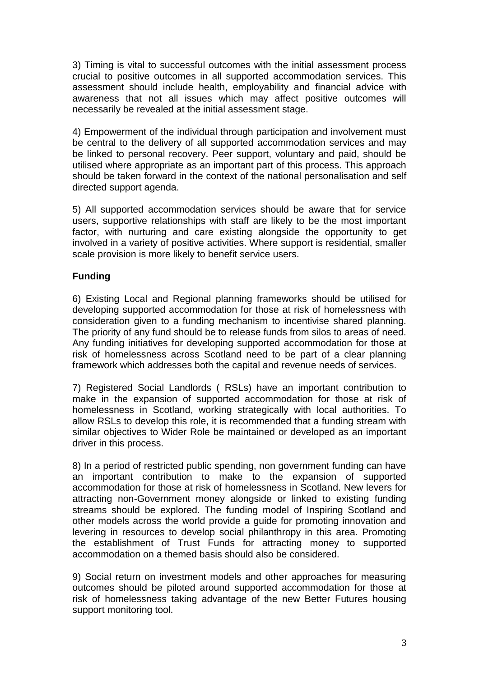3) Timing is vital to successful outcomes with the initial assessment process crucial to positive outcomes in all supported accommodation services. This assessment should include health, employability and financial advice with awareness that not all issues which may affect positive outcomes will necessarily be revealed at the initial assessment stage.

4) Empowerment of the individual through participation and involvement must be central to the delivery of all supported accommodation services and may be linked to personal recovery. Peer support, voluntary and paid, should be utilised where appropriate as an important part of this process. This approach should be taken forward in the context of the national personalisation and self directed support agenda.

5) All supported accommodation services should be aware that for service users, supportive relationships with staff are likely to be the most important factor, with nurturing and care existing alongside the opportunity to get involved in a variety of positive activities. Where support is residential, smaller scale provision is more likely to benefit service users.

# **Funding**

6) Existing Local and Regional planning frameworks should be utilised for developing supported accommodation for those at risk of homelessness with consideration given to a funding mechanism to incentivise shared planning. The priority of any fund should be to release funds from silos to areas of need. Any funding initiatives for developing supported accommodation for those at risk of homelessness across Scotland need to be part of a clear planning framework which addresses both the capital and revenue needs of services.

7) Registered Social Landlords ( RSLs) have an important contribution to make in the expansion of supported accommodation for those at risk of homelessness in Scotland, working strategically with local authorities. To allow RSLs to develop this role, it is recommended that a funding stream with similar objectives to Wider Role be maintained or developed as an important driver in this process.

8) In a period of restricted public spending, non government funding can have an important contribution to make to the expansion of supported accommodation for those at risk of homelessness in Scotland. New levers for attracting non-Government money alongside or linked to existing funding streams should be explored. The funding model of Inspiring Scotland and other models across the world provide a guide for promoting innovation and levering in resources to develop social philanthropy in this area. Promoting the establishment of Trust Funds for attracting money to supported accommodation on a themed basis should also be considered.

9) Social return on investment models and other approaches for measuring outcomes should be piloted around supported accommodation for those at risk of homelessness taking advantage of the new Better Futures housing support monitoring tool.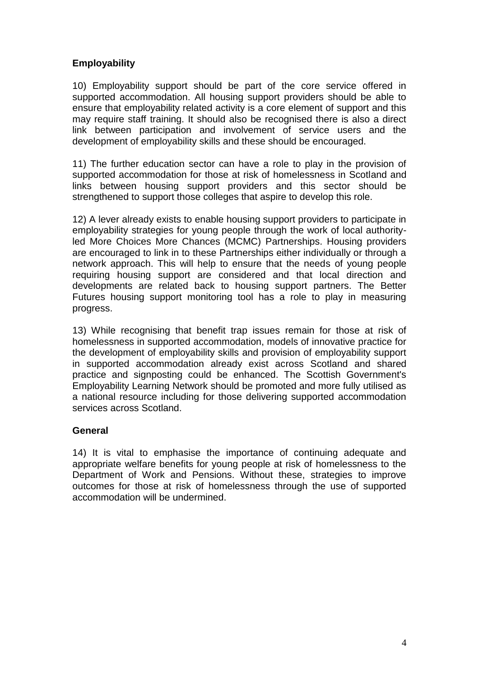## **Employability**

10) Employability support should be part of the core service offered in supported accommodation. All housing support providers should be able to ensure that employability related activity is a core element of support and this may require staff training. It should also be recognised there is also a direct link between participation and involvement of service users and the development of employability skills and these should be encouraged.

11) The further education sector can have a role to play in the provision of supported accommodation for those at risk of homelessness in Scotland and links between housing support providers and this sector should be strengthened to support those colleges that aspire to develop this role.

12) A lever already exists to enable housing support providers to participate in employability strategies for young people through the work of local authorityled More Choices More Chances (MCMC) Partnerships. Housing providers are encouraged to link in to these Partnerships either individually or through a network approach. This will help to ensure that the needs of young people requiring housing support are considered and that local direction and developments are related back to housing support partners. The Better Futures housing support monitoring tool has a role to play in measuring progress.

13) While recognising that benefit trap issues remain for those at risk of homelessness in supported accommodation, models of innovative practice for the development of employability skills and provision of employability support in supported accommodation already exist across Scotland and shared practice and signposting could be enhanced. The Scottish Government's Employability Learning Network should be promoted and more fully utilised as a national resource including for those delivering supported accommodation services across Scotland.

#### **General**

14) It is vital to emphasise the importance of continuing adequate and appropriate welfare benefits for young people at risk of homelessness to the Department of Work and Pensions. Without these, strategies to improve outcomes for those at risk of homelessness through the use of supported accommodation will be undermined.